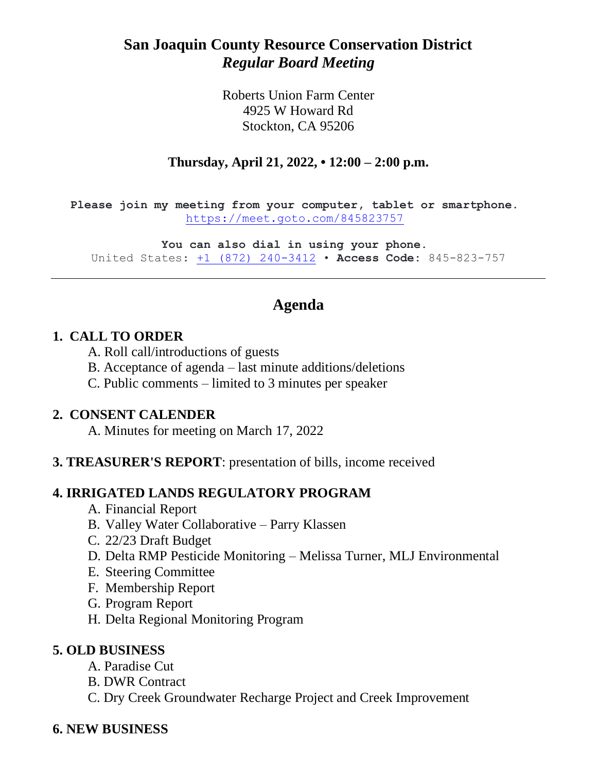# **San Joaquin County Resource Conservation District** *Regular Board Meeting*

Roberts Union Farm Center 4925 W Howard Rd Stockton, CA 95206

#### **Thursday, April 21, 2022, • 12:00 – 2:00 p.m.**

**Please join my meeting from your computer, tablet or smartphone.** <https://meet.goto.com/845823757>

**You can also dial in using your phone.** United States: [+1 \(872\) 240-3412](tel:+18722403412,,845823757%23) • **Access Code:** 845-823-757

# **Agenda**

#### **1. CALL TO ORDER**

- A. Roll call/introductions of guests
- B. Acceptance of agenda last minute additions/deletions
- C. Public comments limited to 3 minutes per speaker

#### **2. CONSENT CALENDER**

A. Minutes for meeting on March 17, 2022

#### **3. TREASURER'S REPORT**: presentation of bills, income received

#### **4. IRRIGATED LANDS REGULATORY PROGRAM**

- A. Financial Report
- B. Valley Water Collaborative Parry Klassen
- C. 22/23 Draft Budget
- D. Delta RMP Pesticide Monitoring Melissa Turner, MLJ Environmental
- E. Steering Committee
- F. Membership Report
- G. Program Report
- H. Delta Regional Monitoring Program

#### **5. OLD BUSINESS**

- A. Paradise Cut
- B. DWR Contract
- C. Dry Creek Groundwater Recharge Project and Creek Improvement

#### **6. NEW BUSINESS**